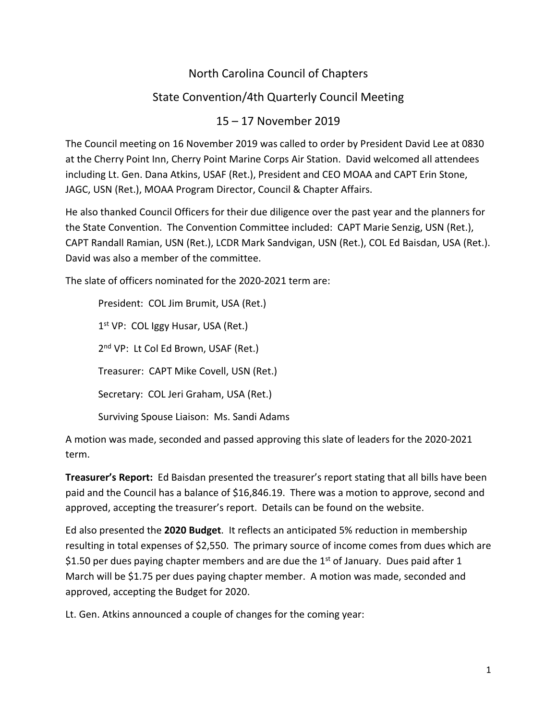# North Carolina Council of Chapters

# State Convention/4th Quarterly Council Meeting

## 15 – 17 November 2019

The Council meeting on 16 November 2019 was called to order by President David Lee at 0830 at the Cherry Point Inn, Cherry Point Marine Corps Air Station. David welcomed all attendees including Lt. Gen. Dana Atkins, USAF (Ret.), President and CEO MOAA and CAPT Erin Stone, JAGC, USN (Ret.), MOAA Program Director, Council & Chapter Affairs.

He also thanked Council Officers for their due diligence over the past year and the planners for the State Convention. The Convention Committee included: CAPT Marie Senzig, USN (Ret.), CAPT Randall Ramian, USN (Ret.), LCDR Mark Sandvigan, USN (Ret.), COL Ed Baisdan, USA (Ret.). David was also a member of the committee.

The slate of officers nominated for the 2020-2021 term are:

President: COL Jim Brumit, USA (Ret.)  $1<sup>st</sup> VP: COL Iggy Husar, USA (Ret.)$ 2<sup>nd</sup> VP: Lt Col Ed Brown, USAF (Ret.) Treasurer: CAPT Mike Covell, USN (Ret.) Secretary: COL Jeri Graham, USA (Ret.) Surviving Spouse Liaison: Ms. Sandi Adams

A motion was made, seconded and passed approving this slate of leaders for the 2020-2021 term.

**Treasurer's Report:** Ed Baisdan presented the treasurer's report stating that all bills have been paid and the Council has a balance of \$16,846.19. There was a motion to approve, second and approved, accepting the treasurer's report. Details can be found on the website.

Ed also presented the **2020 Budget**. It reflects an anticipated 5% reduction in membership resulting in total expenses of \$2,550. The primary source of income comes from dues which are \$1.50 per dues paying chapter members and are due the  $1<sup>st</sup>$  of January. Dues paid after 1 March will be \$1.75 per dues paying chapter member. A motion was made, seconded and approved, accepting the Budget for 2020.

Lt. Gen. Atkins announced a couple of changes for the coming year: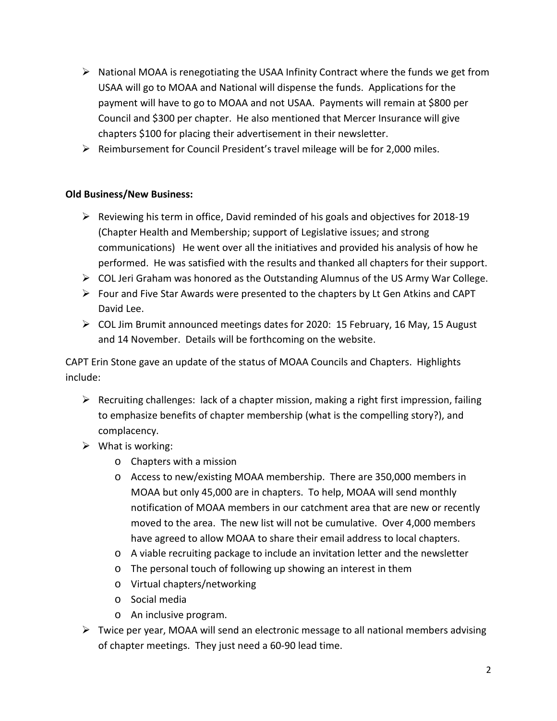- $\triangleright$  National MOAA is renegotiating the USAA Infinity Contract where the funds we get from USAA will go to MOAA and National will dispense the funds. Applications for the payment will have to go to MOAA and not USAA. Payments will remain at \$800 per Council and \$300 per chapter. He also mentioned that Mercer Insurance will give chapters \$100 for placing their advertisement in their newsletter.
- $\triangleright$  Reimbursement for Council President's travel mileage will be for 2,000 miles.

### **Old Business/New Business:**

- $\triangleright$  Reviewing his term in office, David reminded of his goals and objectives for 2018-19 (Chapter Health and Membership; support of Legislative issues; and strong communications) He went over all the initiatives and provided his analysis of how he performed. He was satisfied with the results and thanked all chapters for their support.
- $\triangleright$  COL Jeri Graham was honored as the Outstanding Alumnus of the US Army War College.
- $\triangleright$  Four and Five Star Awards were presented to the chapters by Lt Gen Atkins and CAPT David Lee.
- $\triangleright$  COL Jim Brumit announced meetings dates for 2020: 15 February, 16 May, 15 August and 14 November. Details will be forthcoming on the website.

CAPT Erin Stone gave an update of the status of MOAA Councils and Chapters. Highlights include:

- $\triangleright$  Recruiting challenges: lack of a chapter mission, making a right first impression, failing to emphasize benefits of chapter membership (what is the compelling story?), and complacency.
- $\triangleright$  What is working:
	- o Chapters with a mission
	- o Access to new/existing MOAA membership. There are 350,000 members in MOAA but only 45,000 are in chapters. To help, MOAA will send monthly notification of MOAA members in our catchment area that are new or recently moved to the area. The new list will not be cumulative. Over 4,000 members have agreed to allow MOAA to share their email address to local chapters.
	- o A viable recruiting package to include an invitation letter and the newsletter
	- o The personal touch of following up showing an interest in them
	- o Virtual chapters/networking
	- o Social media
	- o An inclusive program.
- $\triangleright$  Twice per year, MOAA will send an electronic message to all national members advising of chapter meetings. They just need a 60-90 lead time.